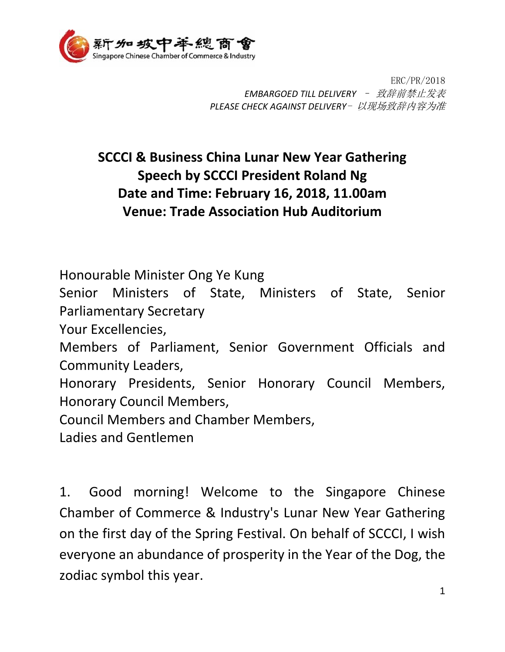

ERC/PR/2018 *EMBARGOED TILL DELIVERY* – 致辞前禁止发表 *PLEASE CHECK AGAINST DELIVERY*- 以现场致辞内容为准

## **SCCCI & Business China Lunar New Year Gathering Speech by SCCCI President Roland Ng Date and Time: February 16, 2018, 11.00am Venue: Trade Association Hub Auditorium**

Honourable Minister Ong Ye Kung

Senior Ministers of State, Ministers of State, Senior Parliamentary Secretary

Your Excellencies,

Members of Parliament, Senior Government Officials and Community Leaders,

Honorary Presidents, Senior Honorary Council Members, Honorary Council Members,

Council Members and Chamber Members,

Ladies and Gentlemen

1. Good morning! Welcome to the Singapore Chinese Chamber of Commerce & Industry's Lunar New Year Gathering on the first day of the Spring Festival. On behalf of SCCCI, I wish everyone an abundance of prosperity in the Year of the Dog, the zodiac symbol this year.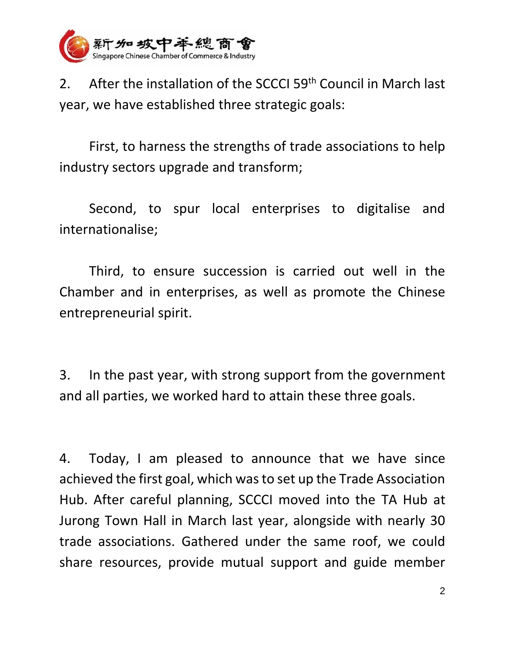

2. After the installation of the SCCCI 59<sup>th</sup> Council in March last year, we have established three strategic goals:

First, to harness the strengths of trade associations to help industry sectors upgrade and transform;

Second, to spur local enterprises to digitalise and internationalise;

Third, to ensure succession is carried out well in the Chamber and in enterprises, as well as promote the Chinese entrepreneurial spirit.

3. In the past year, with strong support from the government and all parties, we worked hard to attain these three goals.

4. Today, I am pleased to announce that we have since achieved the first goal, which was to set up the Trade Association Hub. After careful planning, SCCCI moved into the TA Hub at Jurong Town Hall in March last year, alongside with nearly 30 trade associations. Gathered under the same roof, we could share resources, provide mutual support and guide member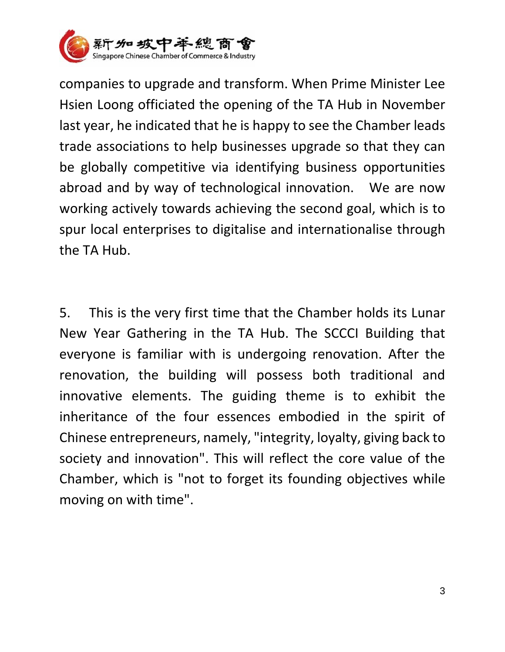

companies to upgrade and transform. When Prime Minister Lee Hsien Loong officiated the opening of the TA Hub in November last year, he indicated that he is happy to see the Chamber leads trade associations to help businesses upgrade so that they can be globally competitive via identifying business opportunities abroad and by way of technological innovation. We are now working actively towards achieving the second goal, which is to spur local enterprises to digitalise and internationalise through the TA Hub.

5. This is the very first time that the Chamber holds its Lunar New Year Gathering in the TA Hub. The SCCCI Building that everyone is familiar with is undergoing renovation. After the renovation, the building will possess both traditional and innovative elements. The guiding theme is to exhibit the inheritance of the four essences embodied in the spirit of Chinese entrepreneurs, namely, "integrity, loyalty, giving back to society and innovation". This will reflect the core value of the Chamber, which is "not to forget its founding objectives while moving on with time".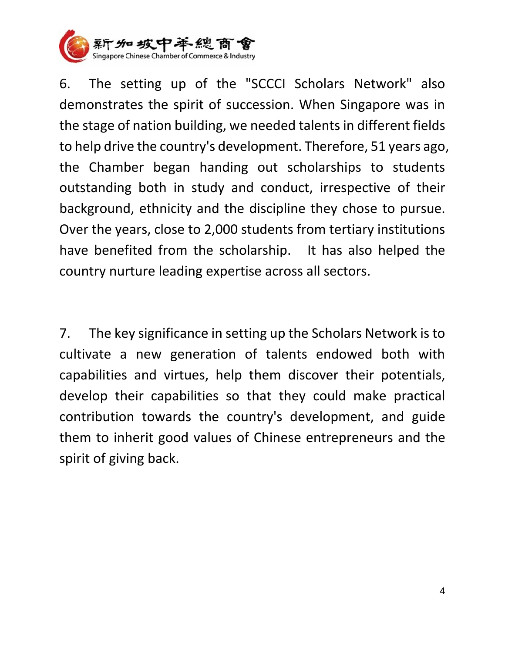

6. The setting up of the "SCCCI Scholars Network" also demonstrates the spirit of succession. When Singapore was in the stage of nation building, we needed talents in different fields to help drive the country's development. Therefore, 51 years ago, the Chamber began handing out scholarships to students outstanding both in study and conduct, irrespective of their background, ethnicity and the discipline they chose to pursue. Over the years, close to 2,000 students from tertiary institutions have benefited from the scholarship. It has also helped the country nurture leading expertise across all sectors.

7. The key significance in setting up the Scholars Network is to cultivate a new generation of talents endowed both with capabilities and virtues, help them discover their potentials, develop their capabilities so that they could make practical contribution towards the country's development, and guide them to inherit good values of Chinese entrepreneurs and the spirit of giving back.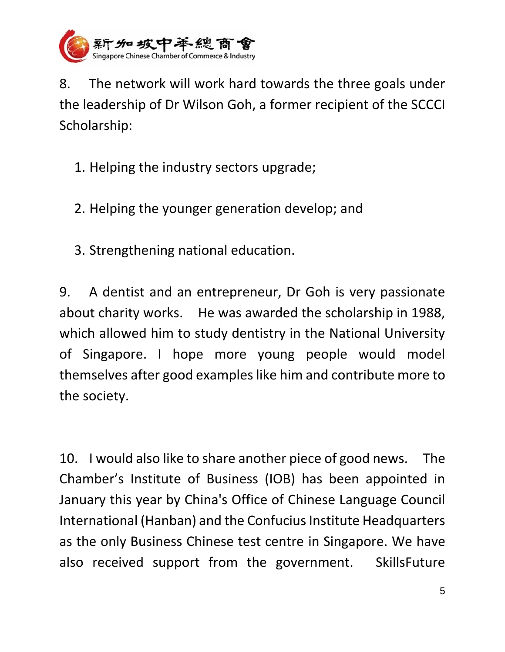

8. The network will work hard towards the three goals under the leadership of Dr Wilson Goh, a former recipient of the SCCCI Scholarship:

- 1. Helping the industry sectors upgrade;
- 2. Helping the younger generation develop; and
- 3. Strengthening national education.

9. A dentist and an entrepreneur, Dr Goh is very passionate about charity works. He was awarded the scholarship in 1988, which allowed him to study dentistry in the National University of Singapore. I hope more young people would model themselves after good examples like him and contribute more to the society.

10. I would also like to share another piece of good news. The Chamber's Institute of Business (IOB) has been appointed in January this year by China's Office of Chinese Language Council International (Hanban) and the Confucius Institute Headquarters as the only Business Chinese test centre in Singapore. We have also received support from the government. SkillsFuture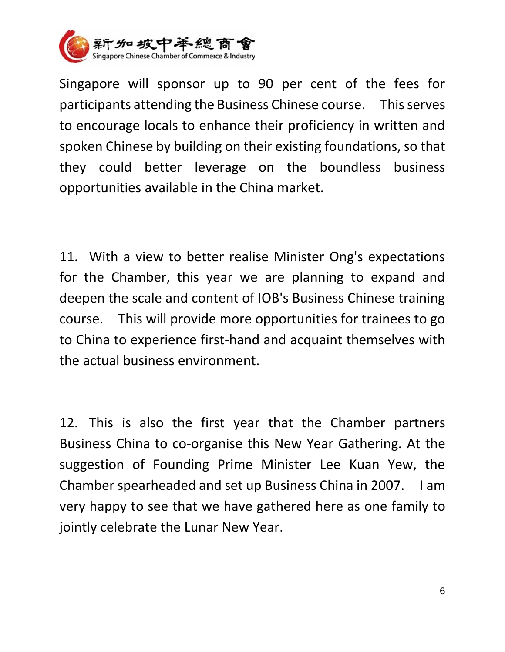

Singapore will sponsor up to 90 per cent of the fees for participants attending the Business Chinese course. This serves to encourage locals to enhance their proficiency in written and spoken Chinese by building on their existing foundations, so that they could better leverage on the boundless business opportunities available in the China market.

11. With a view to better realise Minister Ong's expectations for the Chamber, this year we are planning to expand and deepen the scale and content of IOB's Business Chinese training course. This will provide more opportunities for trainees to go to China to experience first-hand and acquaint themselves with the actual business environment.

12. This is also the first year that the Chamber partners Business China to co-organise this New Year Gathering. At the suggestion of Founding Prime Minister Lee Kuan Yew, the Chamber spearheaded and set up Business China in 2007. I am very happy to see that we have gathered here as one family to jointly celebrate the Lunar New Year.